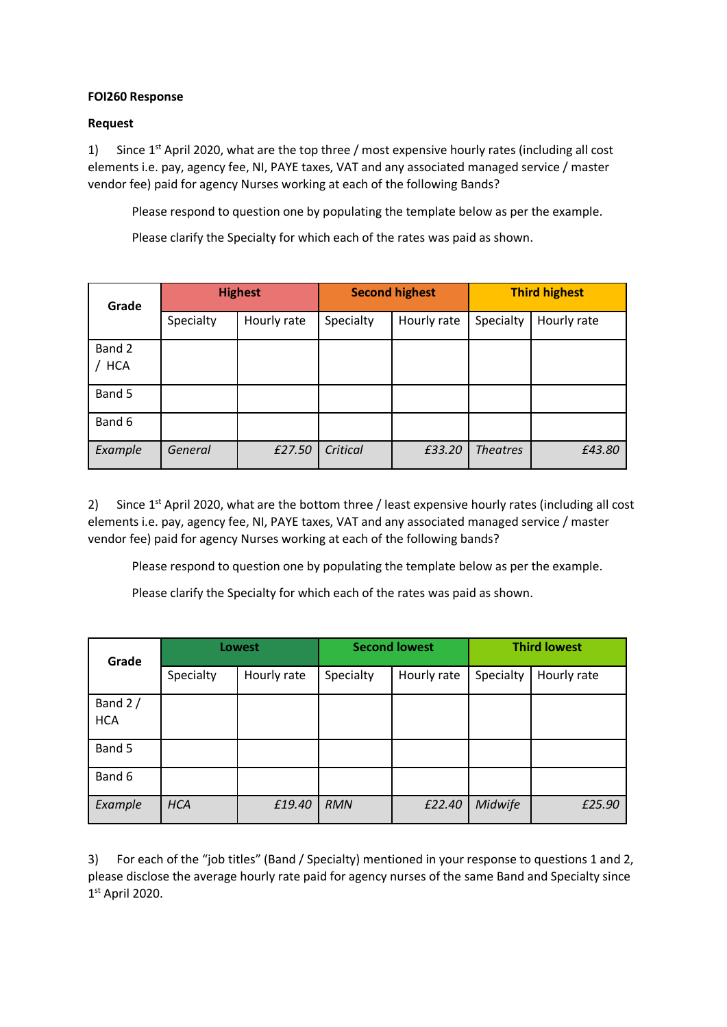## **FOI260 Response**

## **Request**

1) Since  $1^{st}$  April 2020, what are the top three / most expensive hourly rates (including all cost elements i.e. pay, agency fee, NI, PAYE taxes, VAT and any associated managed service / master vendor fee) paid for agency Nurses working at each of the following Bands?

Please respond to question one by populating the template below as per the example.

Please clarify the Specialty for which each of the rates was paid as shown.

| Grade                | <b>Highest</b> |             | <b>Second highest</b> |             | <b>Third highest</b> |             |
|----------------------|----------------|-------------|-----------------------|-------------|----------------------|-------------|
|                      | Specialty      | Hourly rate | Specialty             | Hourly rate | Specialty            | Hourly rate |
| Band 2<br><b>HCA</b> |                |             |                       |             |                      |             |
| Band 5               |                |             |                       |             |                      |             |
| Band 6               |                |             |                       |             |                      |             |
| Example              | General        | £27.50      | Critical              | £33.20      | <b>Theatres</b>      | £43.80      |

2) Since  $1<sup>st</sup>$  April 2020, what are the bottom three / least expensive hourly rates (including all cost elements i.e. pay, agency fee, NI, PAYE taxes, VAT and any associated managed service / master vendor fee) paid for agency Nurses working at each of the following bands?

Please respond to question one by populating the template below as per the example.

Please clarify the Specialty for which each of the rates was paid as shown.

| Grade                   | <b>Lowest</b> |             | <b>Second lowest</b> |             | <b>Third lowest</b> |             |
|-------------------------|---------------|-------------|----------------------|-------------|---------------------|-------------|
|                         | Specialty     | Hourly rate | Specialty            | Hourly rate | Specialty           | Hourly rate |
| Band $2/$<br><b>HCA</b> |               |             |                      |             |                     |             |
| Band 5                  |               |             |                      |             |                     |             |
| Band 6                  |               |             |                      |             |                     |             |
| Example                 | <b>HCA</b>    | £19.40      | <b>RMN</b>           | £22.40      | Midwife             | £25.90      |

3) For each of the "job titles" (Band / Specialty) mentioned in your response to questions 1 and 2, please disclose the average hourly rate paid for agency nurses of the same Band and Specialty since 1 st April 2020.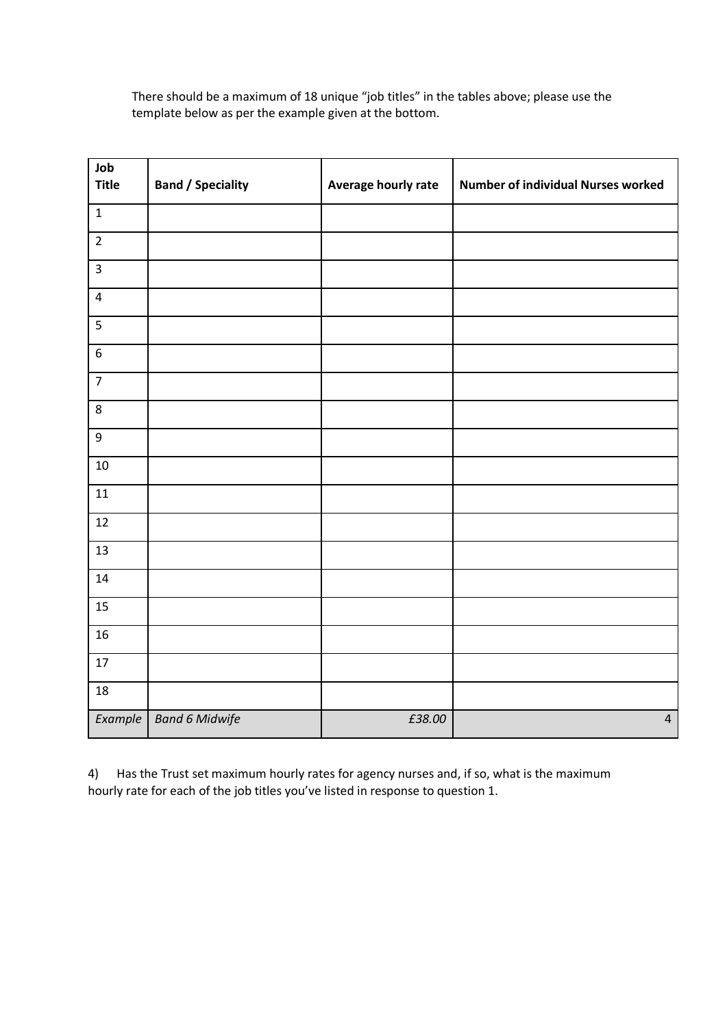There should be a maximum of 18 unique "job titles" in the tables above; please use the template below as per the example given at the bottom.

| Job<br><b>Title</b> | <b>Band / Speciality</b> | Average hourly rate | <b>Number of individual Nurses worked</b> |
|---------------------|--------------------------|---------------------|-------------------------------------------|
| $\mathbf 1$         |                          |                     |                                           |
| $\overline{2}$      |                          |                     |                                           |
| $\mathsf{3}$        |                          |                     |                                           |
| $\pmb{4}$           |                          |                     |                                           |
| 5                   |                          |                     |                                           |
| $\boldsymbol{6}$    |                          |                     |                                           |
| $\overline{7}$      |                          |                     |                                           |
| $\bf 8$             |                          |                     |                                           |
| $\boldsymbol{9}$    |                          |                     |                                           |
| 10                  |                          |                     |                                           |
| 11                  |                          |                     |                                           |
| 12                  |                          |                     |                                           |
| 13                  |                          |                     |                                           |
| 14                  |                          |                     |                                           |
| 15                  |                          |                     |                                           |
| 16                  |                          |                     |                                           |
| $17\,$              |                          |                     |                                           |
| 18                  |                          |                     |                                           |
| <b>Example</b>      | <b>Band 6 Midwife</b>    | £38.00              | $\overline{4}$                            |

4) Has the Trust set maximum hourly rates for agency nurses and, if so, what is the maximum hourly rate for each of the job titles you've listed in response to question 1.